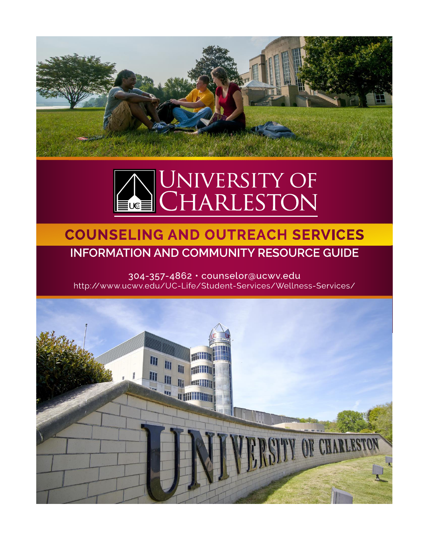



# **COUNSELING AND OUTREACH SERVICES INFORMATION AND COMMUNITY RESOURCE GUIDE**

304-357-4862 · counselor@ucwv.edu http://www.ucwv.edu/UC-Life/Student-Services/Wellness-Services/

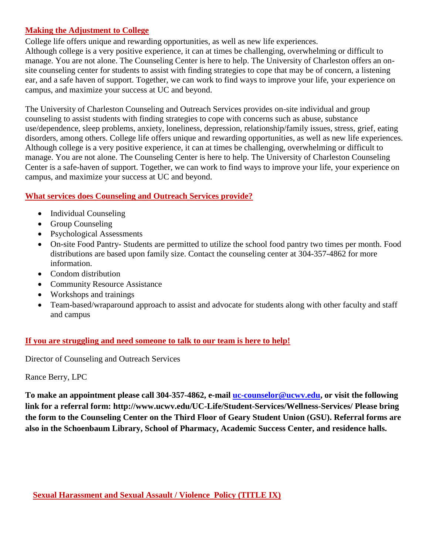# **Making the Adjustment to College**

College life offers unique and rewarding opportunities, as well as new life experiences. Although college is a very positive experience, it can at times be challenging, overwhelming or difficult to manage. You are not alone. The Counseling Center is here to help. The University of Charleston offers an onsite counseling center for students to assist with finding strategies to cope that may be of concern, a listening ear, and a safe haven of support. Together, we can work to find ways to improve your life, your experience on campus, and maximize your success at UC and beyond.

The University of Charleston Counseling and Outreach Services provides on-site individual and group counseling to assist students with finding strategies to cope with concerns such as abuse, substance use/dependence, sleep problems, anxiety, loneliness, depression, relationship/family issues, stress, grief, eating disorders, among others. College life offers unique and rewarding opportunities, as well as new life experiences. Although college is a very positive experience, it can at times be challenging, overwhelming or difficult to manage. You are not alone. The Counseling Center is here to help. The University of Charleston Counseling Center is a safe-haven of support. Together, we can work to find ways to improve your life, your experience on campus, and maximize your success at UC and beyond.

# **What services does Counseling and Outreach Services provide?**

- Individual Counseling
- Group Counseling
- Psychological Assessments
- On-site Food Pantry- Students are permitted to utilize the school food pantry two times per month. Food distributions are based upon family size. Contact the counseling center at 304-357-4862 for more information.
- Condom distribution
- Community Resource Assistance
- Workshops and trainings
- Team-based/wraparound approach to assist and advocate for students along with other faculty and staff and campus

# **If you are struggling and need someone to talk to our team is here to help!**

Director of Counseling and Outreach Services

Rance Berry, LPC

**To make an appointment please call 304-357-4862, e-mail [uc-counselor@ucwv.edu,](mailto:uc-counselor@ucwv.edu) or visit the following link for a referral form: http://www.ucwv.edu/UC-Life/Student-Services/Wellness-Services/ Please bring the form to the Counseling Center on the Third Floor of Geary Student Union (GSU). Referral forms are also in the Schoenbaum Library, School of Pharmacy, Academic Success Center, and residence halls.**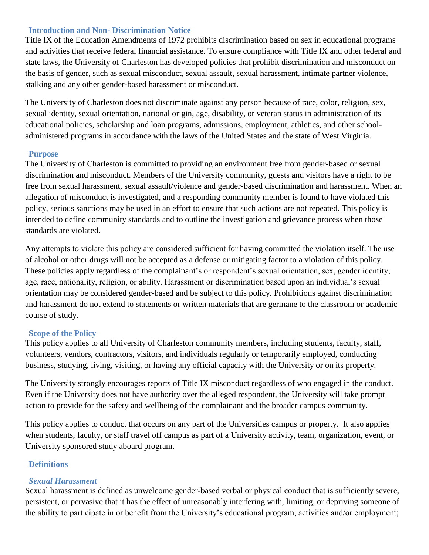#### **Introduction and Non- Discrimination Notice**

Title IX of the Education Amendments of 1972 prohibits discrimination based on sex in educational programs and activities that receive federal financial assistance. To ensure compliance with Title IX and other federal and state laws, the University of Charleston has developed policies that prohibit discrimination and misconduct on the basis of gender, such as sexual misconduct, sexual assault, sexual harassment, intimate partner violence, stalking and any other gender-based harassment or misconduct.

The University of Charleston does not discriminate against any person because of race, color, religion, sex, sexual identity, sexual orientation, national origin, age, disability, or veteran status in administration of its educational policies, scholarship and loan programs, admissions, employment, athletics, and other schooladministered programs in accordance with the laws of the United States and the state of West Virginia.

#### **Purpose**

The University of Charleston is committed to providing an environment free from gender-based or sexual discrimination and misconduct. Members of the University community, guests and visitors have a right to be free from sexual harassment, sexual assault/violence and gender-based discrimination and harassment. When an allegation of misconduct is investigated, and a responding community member is found to have violated this policy, serious sanctions may be used in an effort to ensure that such actions are not repeated. This policy is intended to define community standards and to outline the investigation and grievance process when those standards are violated.

Any attempts to violate this policy are considered sufficient for having committed the violation itself. The use of alcohol or other drugs will not be accepted as a defense or mitigating factor to a violation of this policy. These policies apply regardless of the complainant's or respondent's sexual orientation, sex, gender identity, age, race, nationality, religion, or ability. Harassment or discrimination based upon an individual's sexual orientation may be considered gender-based and be subject to this policy. Prohibitions against discrimination and harassment do not extend to statements or written materials that are germane to the classroom or academic course of study.

# **Scope of the Policy**

This policy applies to all University of Charleston community members, including students, faculty, staff, volunteers, vendors, contractors, visitors, and individuals regularly or temporarily employed, conducting business, studying, living, visiting, or having any official capacity with the University or on its property.

The University strongly encourages reports of Title IX misconduct regardless of who engaged in the conduct. Even if the University does not have authority over the alleged respondent, the University will take prompt action to provide for the safety and wellbeing of the complainant and the broader campus community.

This policy applies to conduct that occurs on any part of the Universities campus or property. It also applies when students, faculty, or staff travel off campus as part of a University activity, team, organization, event, or University sponsored study aboard program.

# **Definitions**

# *Sexual Harassment*

Sexual harassment is defined as unwelcome gender-based verbal or physical conduct that is sufficiently severe, persistent, or pervasive that it has the effect of unreasonably interfering with, limiting, or depriving someone of the ability to participate in or benefit from the University's educational program, activities and/or employment;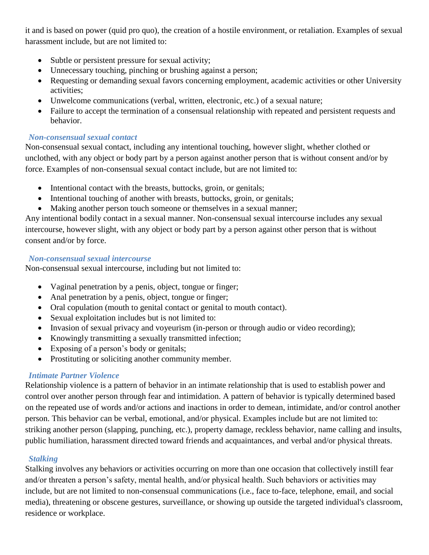it and is based on power (quid pro quo), the creation of a hostile environment, or retaliation. Examples of sexual harassment include, but are not limited to:

- Subtle or persistent pressure for sexual activity;
- Unnecessary touching, pinching or brushing against a person;
- Requesting or demanding sexual favors concerning employment, academic activities or other University activities;
- Unwelcome communications (verbal, written, electronic, etc.) of a sexual nature;
- Failure to accept the termination of a consensual relationship with repeated and persistent requests and behavior.

# *Non-consensual sexual contact*

Non-consensual sexual contact, including any intentional touching, however slight, whether clothed or unclothed, with any object or body part by a person against another person that is without consent and/or by force. Examples of non-consensual sexual contact include, but are not limited to:

- Intentional contact with the breasts, buttocks, groin, or genitals;
- Intentional touching of another with breasts, buttocks, groin, or genitals;
- Making another person touch someone or themselves in a sexual manner;

Any intentional bodily contact in a sexual manner. Non-consensual sexual intercourse includes any sexual intercourse, however slight, with any object or body part by a person against other person that is without consent and/or by force.

# *Non-consensual sexual intercourse*

Non-consensual sexual intercourse, including but not limited to:

- Vaginal penetration by a penis, object, tongue or finger;
- Anal penetration by a penis, object, tongue or finger;
- Oral copulation (mouth to genital contact or genital to mouth contact).
- Sexual exploitation includes but is not limited to:
- Invasion of sexual privacy and voyeurism (in-person or through audio or video recording);
- Knowingly transmitting a sexually transmitted infection;
- Exposing of a person's body or genitals;
- Prostituting or soliciting another community member.

# *Intimate Partner Violence*

Relationship violence is a pattern of behavior in an intimate relationship that is used to establish power and control over another person through fear and intimidation. A pattern of behavior is typically determined based on the repeated use of words and/or actions and inactions in order to demean, intimidate, and/or control another person. This behavior can be verbal, emotional, and/or physical. Examples include but are not limited to: striking another person (slapping, punching, etc.), property damage, reckless behavior, name calling and insults, public humiliation, harassment directed toward friends and acquaintances, and verbal and/or physical threats.

# *Stalking*

Stalking involves any behaviors or activities occurring on more than one occasion that collectively instill fear and/or threaten a person's safety, mental health, and/or physical health. Such behaviors or activities may include, but are not limited to non-consensual communications (i.e., face to-face, telephone, email, and social media), threatening or obscene gestures, surveillance, or showing up outside the targeted individual's classroom, residence or workplace.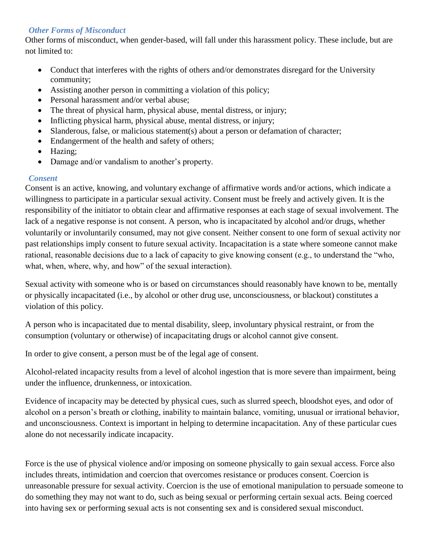# *Other Forms of Misconduct*

Other forms of misconduct, when gender-based, will fall under this harassment policy. These include, but are not limited to:

- Conduct that interferes with the rights of others and/or demonstrates disregard for the University community;
- Assisting another person in committing a violation of this policy;
- Personal harassment and/or verbal abuse;
- The threat of physical harm, physical abuse, mental distress, or injury;
- Inflicting physical harm, physical abuse, mental distress, or injury;
- Slanderous, false, or malicious statement(s) about a person or defamation of character;
- Endangerment of the health and safety of others;
- Hazing;
- Damage and/or vandalism to another's property.

# *Consent*

Consent is an active, knowing, and voluntary exchange of affirmative words and/or actions, which indicate a willingness to participate in a particular sexual activity. Consent must be freely and actively given. It is the responsibility of the initiator to obtain clear and affirmative responses at each stage of sexual involvement. The lack of a negative response is not consent. A person, who is incapacitated by alcohol and/or drugs, whether voluntarily or involuntarily consumed, may not give consent. Neither consent to one form of sexual activity nor past relationships imply consent to future sexual activity. Incapacitation is a state where someone cannot make rational, reasonable decisions due to a lack of capacity to give knowing consent (e.g., to understand the "who, what, when, where, why, and how" of the sexual interaction).

Sexual activity with someone who is or based on circumstances should reasonably have known to be, mentally or physically incapacitated (i.e., by alcohol or other drug use, unconsciousness, or blackout) constitutes a violation of this policy.

A person who is incapacitated due to mental disability, sleep, involuntary physical restraint, or from the consumption (voluntary or otherwise) of incapacitating drugs or alcohol cannot give consent.

In order to give consent, a person must be of the legal age of consent.

Alcohol-related incapacity results from a level of alcohol ingestion that is more severe than impairment, being under the influence, drunkenness, or intoxication.

Evidence of incapacity may be detected by physical cues, such as slurred speech, bloodshot eyes, and odor of alcohol on a person's breath or clothing, inability to maintain balance, vomiting, unusual or irrational behavior, and unconsciousness. Context is important in helping to determine incapacitation. Any of these particular cues alone do not necessarily indicate incapacity.

Force is the use of physical violence and/or imposing on someone physically to gain sexual access. Force also includes threats, intimidation and coercion that overcomes resistance or produces consent. Coercion is unreasonable pressure for sexual activity. Coercion is the use of emotional manipulation to persuade someone to do something they may not want to do, such as being sexual or performing certain sexual acts. Being coerced into having sex or performing sexual acts is not consenting sex and is considered sexual misconduct.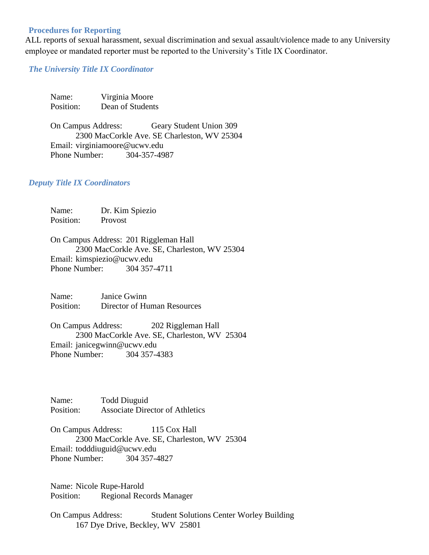#### **Procedures for Reporting**

ALL reports of sexual harassment, sexual discrimination and sexual assault/violence made to any University employee or mandated reporter must be reported to the University's Title IX Coordinator.

#### *The University Title IX Coordinator*

| Name:     | Virginia Moore   |
|-----------|------------------|
| Position: | Dean of Students |

On Campus Address: Geary Student Union 309 2300 MacCorkle Ave. SE Charleston, WV 25304 Email: virginiamoore@ucwv.edu Phone Number: 304-357-4987

#### *Deputy Title IX Coordinators*

| Name:     | Dr. Kim Spiezio |
|-----------|-----------------|
| Position: | Provost         |

On Campus Address: 201 Riggleman Hall 2300 MacCorkle Ave. SE, Charleston, WV 25304 Email: kimspiezio@ucwv.edu Phone Number: 304 357-4711

Name: Janice Gwinn Position: Director of Human Resources

On Campus Address: 202 Riggleman Hall 2300 MacCorkle Ave. SE, Charleston, WV 25304 Email: janicegwinn@ucwv.edu Phone Number: 304 357-4383

Name: Todd Diuguid Position: Associate Director of Athletics

On Campus Address: 115 Cox Hall 2300 MacCorkle Ave. SE, Charleston, WV 25304 Email: todddiuguid@ucwv.edu Phone Number: 304 357-4827

Name: Nicole Rupe-Harold Position: Regional Records Manager

On Campus Address: Student Solutions Center Worley Building 167 Dye Drive, Beckley, WV 25801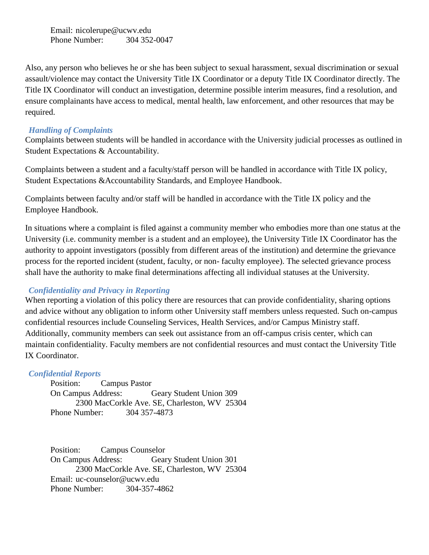Email: nicolerupe@ucwv.edu Phone Number: 304 352-0047

Also, any person who believes he or she has been subject to sexual harassment, sexual discrimination or sexual assault/violence may contact the University Title IX Coordinator or a deputy Title IX Coordinator directly. The Title IX Coordinator will conduct an investigation, determine possible interim measures, find a resolution, and ensure complainants have access to medical, mental health, law enforcement, and other resources that may be required.

#### *Handling of Complaints*

Complaints between students will be handled in accordance with the University judicial processes as outlined in Student Expectations & Accountability.

Complaints between a student and a faculty/staff person will be handled in accordance with Title IX policy, Student Expectations &Accountability Standards, and Employee Handbook.

Complaints between faculty and/or staff will be handled in accordance with the Title IX policy and the Employee Handbook.

In situations where a complaint is filed against a community member who embodies more than one status at the University (i.e. community member is a student and an employee), the University Title IX Coordinator has the authority to appoint investigators (possibly from different areas of the institution) and determine the grievance process for the reported incident (student, faculty, or non- faculty employee). The selected grievance process shall have the authority to make final determinations affecting all individual statuses at the University.

#### *Confidentiality and Privacy in Reporting*

When reporting a violation of this policy there are resources that can provide confidentiality, sharing options and advice without any obligation to inform other University staff members unless requested. Such on-campus confidential resources include Counseling Services, Health Services, and/or Campus Ministry staff. Additionally, community members can seek out assistance from an off-campus crisis center, which can maintain confidentiality. Faculty members are not confidential resources and must contact the University Title IX Coordinator.

#### *Confidential Reports*

Position: Campus Pastor On Campus Address: Geary Student Union 309 2300 MacCorkle Ave. SE, Charleston, WV 25304 Phone Number: 304 357-4873

Position: Campus Counselor On Campus Address: Geary Student Union 301 2300 MacCorkle Ave. SE, Charleston, WV 25304 Email: uc-counselor@ucwv.edu Phone Number: 304-357-4862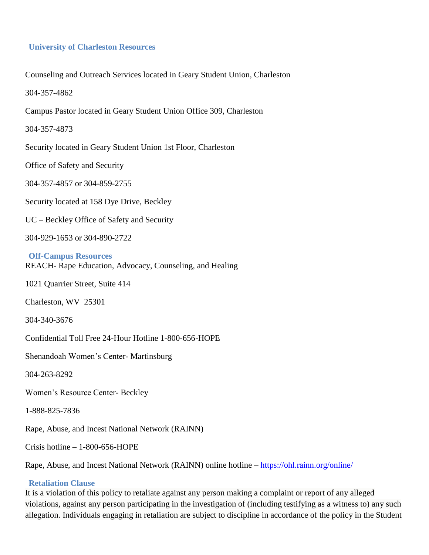#### **University of Charleston Resources**

Counseling and Outreach Services located in Geary Student Union, Charleston

304-357-4862

Campus Pastor located in Geary Student Union Office 309, Charleston

304-357-4873

Security located in Geary Student Union 1st Floor, Charleston

Office of Safety and Security

304-357-4857 or 304-859-2755

Security located at 158 Dye Drive, Beckley

UC – Beckley Office of Safety and Security

304-929-1653 or 304-890-2722

**Off-Campus Resources** REACH- Rape Education, Advocacy, Counseling, and Healing

1021 Quarrier Street, Suite 414

Charleston, WV 25301

304-340-3676

Confidential Toll Free 24-Hour Hotline 1-800-656-HOPE

Shenandoah Women's Center- Martinsburg

304-263-8292

Women's Resource Center- Beckley

1-888-825-7836

Rape, Abuse, and Incest National Network (RAINN)

Crisis hotline – 1-800-656-HOPE

Rape, Abuse, and Incest National Network (RAINN) online hotline – <https://ohl.rainn.org/online/>

#### **Retaliation Clause**

It is a violation of this policy to retaliate against any person making a complaint or report of any alleged violations, against any person participating in the investigation of (including testifying as a witness to) any such allegation. Individuals engaging in retaliation are subject to discipline in accordance of the policy in the Student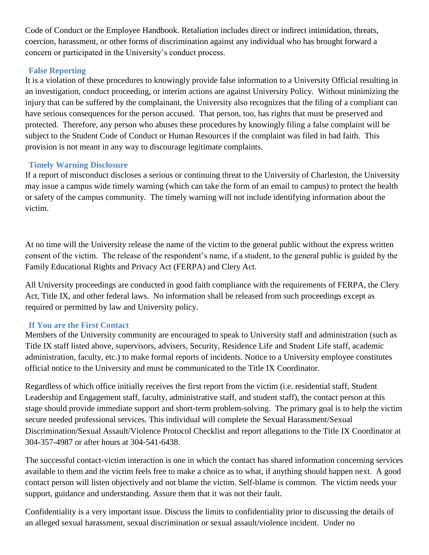Code of Conduct or the Employee Handbook. Retaliation includes direct or indirect intimidation, threats, coercion, harassment, or other forms of discrimination against any individual who has brought forward a concern or participated in the University's conduct process.

# **False Reporting**

It is a violation of these procedures to knowingly provide false information to a University Official resulting in an investigation, conduct proceeding, or interim actions are against University Policy. Without minimizing the injury that can be suffered by the complainant, the University also recognizes that the filing of a compliant can have serious consequences for the person accused. That person, too, has rights that must be preserved and protected. Therefore, any person who abuses these procedures by knowingly filing a false complaint will be subject to the Student Code of Conduct or Human Resources if the complaint was filed in bad faith. This provision is not meant in any way to discourage legitimate complaints.

# **Timely Warning Disclosure**

If a report of misconduct discloses a serious or continuing threat to the University of Charleston, the University may issue a campus wide timely warning (which can take the form of an email to campus) to protect the health or safety of the campus community. The timely warning will not include identifying information about the victim.

At no time will the University release the name of the victim to the general public without the express written consent of the victim. The release of the respondent's name, if a student, to the general public is guided by the Family Educational Rights and Privacy Act (FERPA) and Clery Act.

All University proceedings are conducted in good faith compliance with the requirements of FERPA, the Clery Act, Title IX, and other federal laws. No information shall be released from such proceedings except as required or permitted by law and University policy.

# **If You are the First Contact**

Members of the University community are encouraged to speak to University staff and administration (such as Title IX staff listed above, supervisors, advisers, Security, Residence Life and Student Life staff, academic administration, faculty, etc.) to make formal reports of incidents. Notice to a University employee constitutes official notice to the University and must be communicated to the Title IX Coordinator.

Regardless of which office initially receives the first report from the victim (i.e. residential staff, Student Leadership and Engagement staff, faculty, administrative staff, and student staff), the contact person at this stage should provide immediate support and short-term problem-solving. The primary goal is to help the victim secure needed professional services. This individual will complete the Sexual Harassment/Sexual Discrimination/Sexual Assault/Violence Protocol Checklist and report allegations to the Title IX Coordinator at 304-357-4987 or after hours at 304-541-6438.

The successful contact-victim interaction is one in which the contact has shared information concerning services available to them and the victim feels free to make a choice as to what, if anything should happen next. A good contact person will listen objectively and not blame the victim. Self-blame is common. The victim needs your support, guidance and understanding. Assure them that it was not their fault.

Confidentiality is a very important issue. Discuss the limits to confidentiality prior to discussing the details of an alleged sexual harassment, sexual discrimination or sexual assault/violence incident. Under no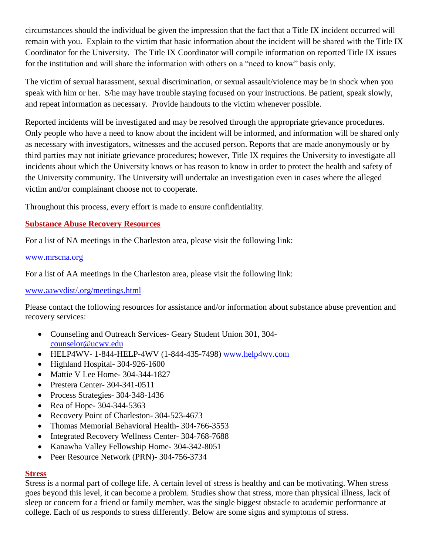circumstances should the individual be given the impression that the fact that a Title IX incident occurred will remain with you. Explain to the victim that basic information about the incident will be shared with the Title IX Coordinator for the University. The Title IX Coordinator will compile information on reported Title IX issues for the institution and will share the information with others on a "need to know" basis only.

The victim of sexual harassment, sexual discrimination, or sexual assault/violence may be in shock when you speak with him or her. S/he may have trouble staying focused on your instructions. Be patient, speak slowly, and repeat information as necessary. Provide handouts to the victim whenever possible.

Reported incidents will be investigated and may be resolved through the appropriate grievance procedures. Only people who have a need to know about the incident will be informed, and information will be shared only as necessary with investigators, witnesses and the accused person. Reports that are made anonymously or by third parties may not initiate grievance procedures; however, Title IX requires the University to investigate all incidents about which the University knows or has reason to know in order to protect the health and safety of the University community. The University will undertake an investigation even in cases where the alleged victim and/or complainant choose not to cooperate.

Throughout this process, every effort is made to ensure confidentiality.

# **Substance Abuse Recovery Resources**

For a list of NA meetings in the Charleston area, please visit the following link:

#### [www.mrscna.org](http://www.mrscna.org/)

For a list of AA meetings in the Charleston area, please visit the following link:

#### [www.aawvdist/.org/meetings.html](http://www.aawvdist/.org/meetings.html)

Please contact the following resources for assistance and/or information about substance abuse prevention and recovery services:

- Counseling and Outreach Services- Geary Student Union 301, 304 [counselor@ucwv.edu](mailto:counselor@ucwv.edu)
- HELP4WV- 1-844-HELP-4WV (1-844-435-7498) [www.help4wv.com](http://www.help4wv.com/)
- Highland Hospital- 304-926-1600
- Mattie V Lee Home- 304-344-1827
- Prestera Center- 304-341-0511
- Process Strategies- 304-348-1436
- Rea of Hope- 304-344-5363
- Recovery Point of Charleston- 304-523-4673
- Thomas Memorial Behavioral Health- 304-766-3553
- Integrated Recovery Wellness Center- 304-768-7688
- Kanawha Valley Fellowship Home- 304-342-8051
- Peer Resource Network (PRN)- 304-756-3734

#### **Stress**

Stress is a normal part of college life. A certain level of stress is healthy and can be motivating. When stress goes beyond this level, it can become a problem. Studies show that stress, more than physical illness, lack of sleep or concern for a friend or family member, was the single biggest obstacle to academic performance at college. Each of us responds to stress differently. Below are some signs and symptoms of stress.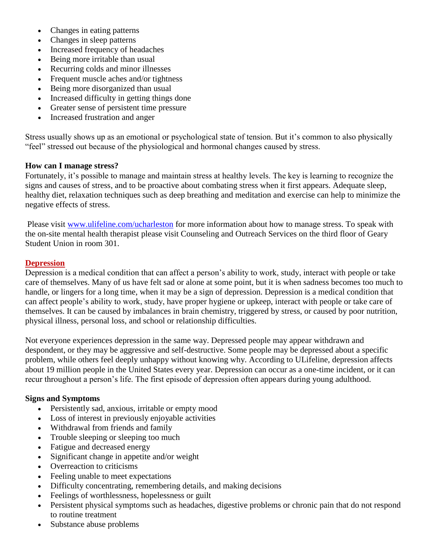- Changes in eating patterns
- Changes in sleep patterns
- Increased frequency of headaches
- Being more irritable than usual
- Recurring colds and minor illnesses
- Frequent muscle aches and/or tightness
- Being more disorganized than usual
- Increased difficulty in getting things done
- Greater sense of persistent time pressure
- Increased frustration and anger

Stress usually shows up as an emotional or psychological state of tension. But it's common to also physically "feel" stressed out because of the physiological and hormonal changes caused by stress.

#### **How can I manage stress?**

Fortunately, it's possible to manage and maintain stress at healthy levels. The key is learning to recognize the signs and causes of stress, and to be proactive about combating stress when it first appears. Adequate sleep, healthy diet, relaxation techniques such as deep breathing and meditation and exercise can help to minimize the negative effects of stress.

Please visit [www.ulifeline.com/ucharleston](http://www.ulifeline.com/ucharleston) for more information about how to manage stress. To speak with the on-site mental health therapist please visit Counseling and Outreach Services on the third floor of Geary Student Union in room 301.

#### **Depression**

Depression is a medical condition that can affect a person's ability to work, study, interact with people or take care of themselves. Many of us have felt sad or alone at some point, but it is when sadness becomes too much to handle, or lingers for a long time, when it may be a sign of depression. Depression is a medical condition that can affect people's ability to work, study, have proper hygiene or upkeep, interact with people or take care of themselves. It can be caused by imbalances in brain chemistry, triggered by stress, or caused by poor nutrition, physical illness, personal loss, and school or relationship difficulties.

Not everyone experiences depression in the same way. Depressed people may appear withdrawn and despondent, or they may be aggressive and self-destructive. Some people may be depressed about a specific problem, while others feel deeply unhappy without knowing why. According to ULifeline, depression affects about 19 million people in the United States every year. Depression can occur as a one-time incident, or it can recur throughout a person's life. The first episode of depression often appears during young adulthood.

#### **Signs and Symptoms**

- Persistently sad, anxious, irritable or empty mood
- Loss of interest in previously enjoyable activities
- Withdrawal from friends and family
- Trouble sleeping or sleeping too much
- Fatigue and decreased energy
- Significant change in appetite and/or weight
- Overreaction to criticisms
- Feeling unable to meet expectations
- Difficulty concentrating, remembering details, and making decisions
- Feelings of worthlessness, hopelessness or guilt
- Persistent physical symptoms such as headaches, digestive problems or chronic pain that do not respond to routine treatment
- Substance abuse problems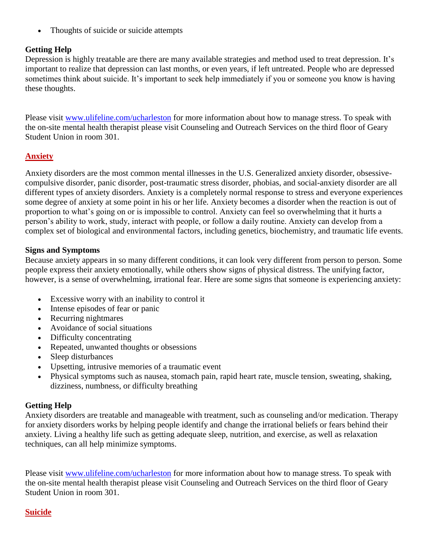• Thoughts of suicide or suicide attempts

# **Getting Help**

Depression is highly treatable are there are many available strategies and method used to treat depression. It's important to realize that depression can last months, or even years, if left untreated. People who are depressed sometimes think about suicide. It's important to seek help immediately if you or someone you know is having these thoughts.

Please visit [www.ulifeline.com/ucharleston](http://www.ulifeline.com/ucharleston) for more information about how to manage stress. To speak with the on-site mental health therapist please visit Counseling and Outreach Services on the third floor of Geary Student Union in room 301.

# **Anxiety**

Anxiety disorders are the most common mental illnesses in the U.S. Generalized anxiety disorder, obsessivecompulsive disorder, panic disorder, post-traumatic stress disorder, phobias, and social-anxiety disorder are all different types of anxiety disorders. Anxiety is a completely normal response to stress and everyone experiences some degree of anxiety at some point in his or her life. Anxiety becomes a disorder when the reaction is out of proportion to what's going on or is impossible to control. Anxiety can feel so overwhelming that it hurts a person's ability to work, study, interact with people, or follow a daily routine. Anxiety can develop from a complex set of biological and environmental factors, including genetics, biochemistry, and traumatic life events.

# **Signs and Symptoms**

Because anxiety appears in so many different conditions, it can look very different from person to person. Some people express their anxiety emotionally, while others show signs of physical distress. The unifying factor, however, is a sense of overwhelming, irrational fear. Here are some signs that someone is experiencing anxiety:

- Excessive worry with an inability to control it
- Intense episodes of fear or panic
- Recurring nightmares
- Avoidance of social situations
- Difficulty concentrating
- Repeated, unwanted thoughts or obsessions
- Sleep disturbances
- Upsetting, intrusive memories of a traumatic event
- Physical symptoms such as nausea, stomach pain, rapid heart rate, muscle tension, sweating, shaking, dizziness, numbness, or difficulty breathing

# **Getting Help**

Anxiety disorders are treatable and manageable with treatment, such as counseling and/or medication. Therapy for anxiety disorders works by helping people identify and change the irrational beliefs or fears behind their anxiety. Living a healthy life such as getting adequate sleep, nutrition, and exercise, as well as relaxation techniques, can all help minimize symptoms.

Please visit [www.ulifeline.com/ucharleston](http://www.ulifeline.com/ucharleston) for more information about how to manage stress. To speak with the on-site mental health therapist please visit Counseling and Outreach Services on the third floor of Geary Student Union in room 301.

# **Suicide**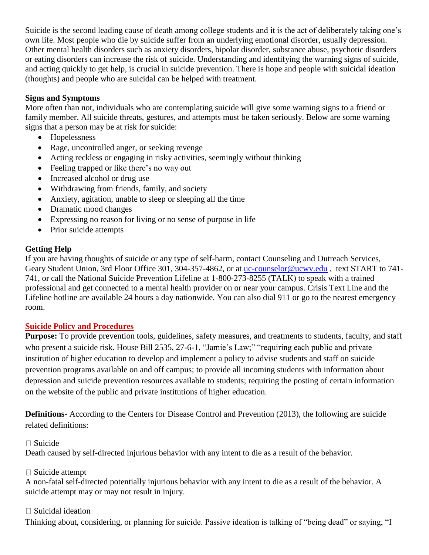Suicide is the second leading cause of death among college students and it is the act of deliberately taking one's own life. Most people who die by suicide suffer from an underlying emotional disorder, usually depression. Other mental health disorders such as anxiety disorders, bipolar disorder, substance abuse, psychotic disorders or eating disorders can increase the risk of suicide. Understanding and identifying the warning signs of suicide, and acting quickly to get help, is crucial in suicide prevention. There is hope and people with suicidal ideation (thoughts) and people who are suicidal can be helped with treatment.

# **Signs and Symptoms**

More often than not, individuals who are contemplating suicide will give some warning signs to a friend or family member. All suicide threats, gestures, and attempts must be taken seriously. Below are some warning signs that a person may be at risk for suicide:

- Hopelessness
- Rage, uncontrolled anger, or seeking revenge
- Acting reckless or engaging in risky activities, seemingly without thinking
- Feeling trapped or like there's no way out
- Increased alcohol or drug use
- Withdrawing from friends, family, and society
- Anxiety, agitation, unable to sleep or sleeping all the time
- Dramatic mood changes
- Expressing no reason for living or no sense of purpose in life
- Prior suicide attempts

# **Getting Help**

If you are having thoughts of suicide or any type of self-harm, contact Counseling and Outreach Services, Geary Student Union, 3rd Floor Office 301, 304-357-4862, or at uc-counselor@ucwy.edu, text START to 741-741, or call the National Suicide Prevention Lifeline at 1-800-273-8255 (TALK) to speak with a trained professional and get connected to a mental health provider on or near your campus. Crisis Text Line and the Lifeline hotline are available 24 hours a day nationwide. You can also dial 911 or go to the nearest emergency room.

# **Suicide Policy and Procedures**

**Purpose:** To provide prevention tools, guidelines, safety measures, and treatments to students, faculty, and staff who present a suicide risk. House Bill 2535, 27-6-1, "Jamie's Law;" "requiring each public and private institution of higher education to develop and implement a policy to advise students and staff on suicide prevention programs available on and off campus; to provide all incoming students with information about depression and suicide prevention resources available to students; requiring the posting of certain information on the website of the public and private institutions of higher education.

**Definitions-** According to the Centers for Disease Control and Prevention (2013), the following are suicide related definitions:

# $\Box$  Suicide

Death caused by self-directed injurious behavior with any intent to die as a result of the behavior.

# □ Suicide attempt

A non-fatal self-directed potentially injurious behavior with any intent to die as a result of the behavior. A suicide attempt may or may not result in injury.

# $\Box$  Suicidal ideation

Thinking about, considering, or planning for suicide. Passive ideation is talking of "being dead" or saying, "I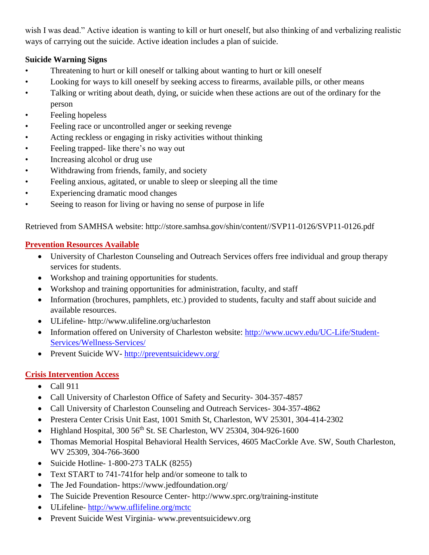wish I was dead." Active ideation is wanting to kill or hurt oneself, but also thinking of and verbalizing realistic ways of carrying out the suicide. Active ideation includes a plan of suicide.

# **Suicide Warning Signs**

- Threatening to hurt or kill oneself or talking about wanting to hurt or kill oneself
- Looking for ways to kill oneself by seeking access to firearms, available pills, or other means
- Talking or writing about death, dying, or suicide when these actions are out of the ordinary for the person
- Feeling hopeless
- Feeling race or uncontrolled anger or seeking revenge
- Acting reckless or engaging in risky activities without thinking
- Feeling trapped- like there's no way out
- Increasing alcohol or drug use
- Withdrawing from friends, family, and society
- Feeling anxious, agitated, or unable to sleep or sleeping all the time
- Experiencing dramatic mood changes
- Seeing to reason for living or having no sense of purpose in life

Retrieved from SAMHSA website: http://store.samhsa.gov/shin/content//SVP11-0126/SVP11-0126.pdf

# **Prevention Resources Available**

- University of Charleston Counseling and Outreach Services offers free individual and group therapy services for students.
- Workshop and training opportunities for students.
- Workshop and training opportunities for administration, faculty, and staff
- Information (brochures, pamphlets, etc.) provided to students, faculty and staff about suicide and available resources.
- ULifeline- http://www.ulifeline.org/ucharleston
- Information offered on University of Charleston website: [http://www.ucwv.edu/UC-Life/Student-](http://www.ucwv.edu/UC-Life/Student-Services/Wellness-Services/)[Services/Wellness-Services/](http://www.ucwv.edu/UC-Life/Student-Services/Wellness-Services/)
- Prevent Suicide WV- <http://preventsuicidewv.org/>

# **Crisis Intervention Access**

- Call 911
- Call University of Charleston Office of Safety and Security- 304-357-4857
- Call University of Charleston Counseling and Outreach Services- 304-357-4862
- Prestera Center Crisis Unit East, 1001 Smith St, Charleston, WV 25301, 304-414-2302
- Highland Hospital, 300 56th St. SE Charleston, WV 25304, 304-926-1600
- Thomas Memorial Hospital Behavioral Health Services, 4605 MacCorkle Ave. SW, South Charleston, WV 25309, 304-766-3600
- Suicide Hotline- 1-800-273 TALK (8255)
- Text START to 741-741for help and/or someone to talk to
- The Jed Foundation- https://www.jedfoundation.org/
- The Suicide Prevention Resource Center- http://www.sprc.org/training-institute
- ULifeline- <http://www.uflifeline.org/mctc>
- Prevent Suicide West Virginia- www.preventsuicidewv.org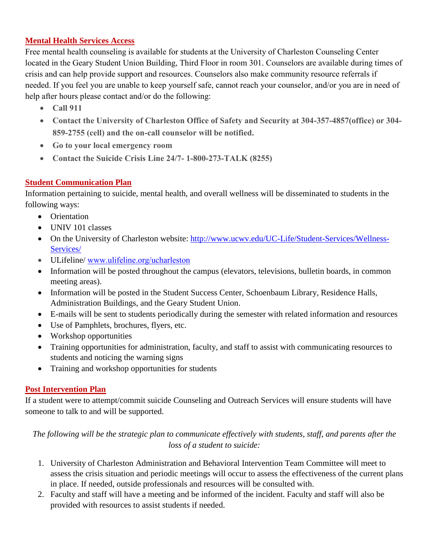# **Mental Health Services Access**

Free mental health counseling is available for students at the University of Charleston Counseling Center located in the Geary Student Union Building, Third Floor in room 301. Counselors are available during times of crisis and can help provide support and resources. Counselors also make community resource referrals if needed. If you feel you are unable to keep yourself safe, cannot reach your counselor, and/or you are in need of help after hours please contact and/or do the following:

- **Call 911**
- **Contact the University of Charleston Office of Safety and Security at 304-357-4857(office) or 304- 859-2755 (cell) and the on-call counselor will be notified.**
- **Go to your local emergency room**
- **Contact the Suicide Crisis Line 24/7- 1-800-273-TALK (8255)**

# **Student Communication Plan**

Information pertaining to suicide, mental health, and overall wellness will be disseminated to students in the following ways:

- Orientation
- UNIV 101 classes
- On the University of Charleston website: [http://www.ucwv.edu/UC-Life/Student-Services/Wellness-](http://www.ucwv.edu/UC-Life/Student-Services/Wellness-Services/)[Services/](http://www.ucwv.edu/UC-Life/Student-Services/Wellness-Services/)
- ULifeline/ www.ulifeline.org/ucharleston
- Information will be posted throughout the campus (elevators, televisions, bulletin boards, in common meeting areas).
- Information will be posted in the Student Success Center, Schoenbaum Library, Residence Halls, Administration Buildings, and the Geary Student Union.
- E-mails will be sent to students periodically during the semester with related information and resources
- Use of Pamphlets, brochures, flyers, etc.
- Workshop opportunities
- Training opportunities for administration, faculty, and staff to assist with communicating resources to students and noticing the warning signs
- Training and workshop opportunities for students

# **Post Intervention Plan**

If a student were to attempt/commit suicide Counseling and Outreach Services will ensure students will have someone to talk to and will be supported.

*The following will be the strategic plan to communicate effectively with students, staff, and parents after the loss of a student to suicide:*

- 1. University of Charleston Administration and Behavioral Intervention Team Committee will meet to assess the crisis situation and periodic meetings will occur to assess the effectiveness of the current plans in place. If needed, outside professionals and resources will be consulted with.
- 2. Faculty and staff will have a meeting and be informed of the incident. Faculty and staff will also be provided with resources to assist students if needed.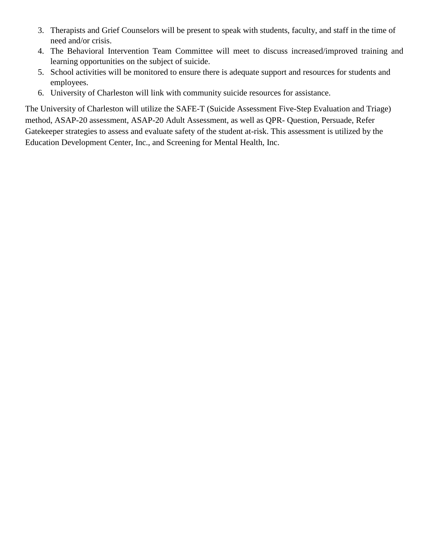- 3. Therapists and Grief Counselors will be present to speak with students, faculty, and staff in the time of need and/or crisis.
- 4. The Behavioral Intervention Team Committee will meet to discuss increased/improved training and learning opportunities on the subject of suicide.
- 5. School activities will be monitored to ensure there is adequate support and resources for students and employees.
- 6. University of Charleston will link with community suicide resources for assistance.

The University of Charleston will utilize the SAFE-T (Suicide Assessment Five-Step Evaluation and Triage) method, ASAP-20 assessment, ASAP-20 Adult Assessment, as well as QPR- Question, Persuade, Refer Gatekeeper strategies to assess and evaluate safety of the student at-risk. This assessment is utilized by the Education Development Center, Inc., and Screening for Mental Health, Inc.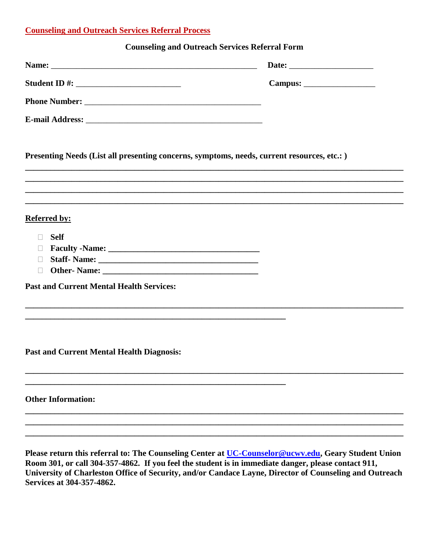#### **Counseling and Outreach Services Referral Process**

#### **Counseling and Outreach Services Referral Form**

| Presenting Needs (List all presenting concerns, symptoms, needs, current resources, etc.: )<br>,我们也不能在这里的时候,我们也不能在这里的时候,我们也不能会在这里的时候,我们也不能会在这里的时候,我们也不能会在这里的时候,我们也不能会在这里的时候,我们也不 |  |
|----------------------------------------------------------------------------------------------------------------------------------------------------------------------------------|--|
| ,我们也不能在这里的时候,我们也不能在这里的时候,我们也不能会在这里的时候,我们也不能会在这里的时候,我们也不能会在这里的时候,我们也不能会在这里的时候,我们也不<br>,我们也不会有什么。""我们的人,我们也不会有什么?""我们的人,我们也不会有什么?""我们的人,我们也不会有什么?""我们的人,我们也不会有什么?""我们的人            |  |
| <b>Referred by:</b>                                                                                                                                                              |  |
| <b>Self</b><br>$\Box$                                                                                                                                                            |  |
| $\Box$                                                                                                                                                                           |  |
| $\Box$<br>$\Box$                                                                                                                                                                 |  |
| <b>Past and Current Mental Health Services:</b>                                                                                                                                  |  |
| ,我们也不能在这里的时候,我们也不能在这里的时候,我们也不能会在这里的时候,我们也不能会在这里的时候,我们也不能会在这里的时候,我们也不能会在这里的时候,我们也不<br>,我们也不会有什么。""我们的人,我们也不会有什么?""我们的人,我们也不会有什么?""我们的人,我们也不会有什么?""我们的人,我们也不会有什么?""我们的人            |  |
| <b>Past and Current Mental Health Diagnosis:</b>                                                                                                                                 |  |
| <b>Other Information:</b>                                                                                                                                                        |  |
|                                                                                                                                                                                  |  |
|                                                                                                                                                                                  |  |

**Please return this referral to: The Counseling Center at [UC-Counselor@ucwv.edu,](mailto:UC-Counselor@ucwv.edu) Geary Student Union Room 301, or call 304-357-4862. If you feel the student is in immediate danger, please contact 911, University of Charleston Office of Security, and/or Candace Layne, Director of Counseling and Outreach Services at 304-357-4862.**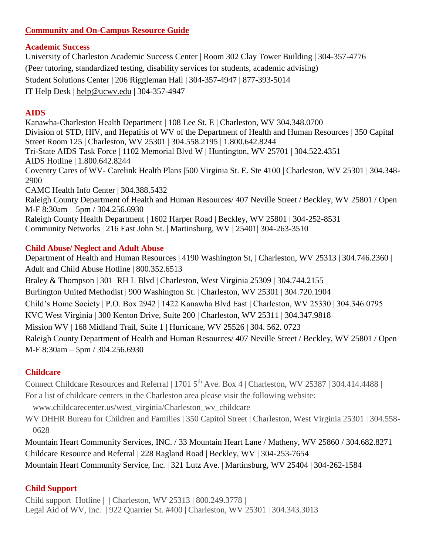# **Community and On-Campus Resource Guide**

# **Academic Success**

University of Charleston Academic Success Center | Room 302 Clay Tower Building | 304-357-4776 (Peer tutoring, standardized testing, disability services for students, academic advising) Student Solutions Center | 206 Riggleman Hall | 304-357-4947 | 877-393-5014 IT Help Desk | [help@ucwv.edu](mailto:help@ucwv.edu) | 304-357-4947

# **AIDS**

Kanawha-Charleston Health Department | 108 Lee St. E | Charleston, WV 304.348.0700 Division of STD, HIV, and Hepatitis of WV of the Department of Health and Human Resources | 350 Capital Street Room 125 | Charleston, WV 25301 | 304.558.2195 | 1.800.642.8244 Tri-State AIDS Task Force | 1102 Memorial Blvd W | Huntington, WV 25701 | 304.522.4351 AIDS Hotline | 1.800.642.8244 Coventry Cares of WV- Carelink Health Plans |500 Virginia St. E. Ste 4100 | Charleston, WV 25301 | 304.348- 2900 CAMC Health Info Center | 304.388.5432 Raleigh County Department of Health and Human Resources/ 407 Neville Street / Beckley, WV 25801 / Open M-F 8:30am – 5pm / 304.256.6930 Raleigh County Health Department | 1602 Harper Road | Beckley, WV 25801 | 304-252-8531 Community Networks | 216 East John St. | Martinsburg, WV | 25401| 304-263-3510

# **Child Abuse/ Neglect and Adult Abuse**

Department of Health and Human Resources | 4190 Washington St, | Charleston, WV 25313 | 304.746.2360 | Adult and Child Abuse Hotline | 800.352.6513 Braley & Thompson | 301 RH L Blvd | Charleston, West Virginia 25309 | 304.744.2155 Burlington United Methodist | 900 Washington St. | Charleston, WV 25301 | 304.720.1904 Child's Home Society | P.O. Box 2942 | 1422 Kanawha Blvd East | Charleston, WV 25330 | 304.346.0795 KVC West Virginia | 300 Kenton Drive, Suite 200 | Charleston, WV 25311 | 304.347.9818 Mission WV | 168 Midland Trail, Suite 1 | Hurricane, WV 25526 | 304. 562. 0723 Raleigh County Department of Health and Human Resources/ 407 Neville Street / Beckley, WV 25801 / Open M-F 8:30am – 5pm / 304.256.6930

# **Childcare**

Connect Childcare Resources and Referral | 1701 5<sup>th</sup> Ave. Box 4 | Charleston, WV 25387 | 304.414.4488 |

For a list of childcare centers in the Charleston area please visit the following website:

www.childcarecenter.us/west\_virginia/Charleston\_wv\_childcare

WV DHHR Bureau for Children and Families | 350 Capitol Street | Charleston, West Virginia 25301 | 304.558- 0628

Mountain Heart Community Services, INC. / 33 Mountain Heart Lane / Matheny, WV 25860 / 304.682.8271 Childcare Resource and Referral | 228 Ragland Road | Beckley, WV | 304-253-7654

Mountain Heart Community Service, Inc. | 321 Lutz Ave. | Martinsburg, WV 25404 | 304-262-1584

# **Child Support**

Child support Hotline | | Charleston, WV 25313 | 800.249.3778 | Legal Aid of WV, Inc. | 922 Quarrier St. #400 | Charleston, WV 25301 | 304.343.3013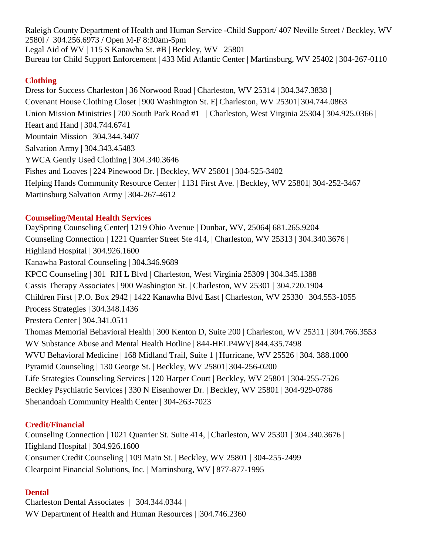Raleigh County Department of Health and Human Service -Child Support/ 407 Neville Street / Beckley, WV 2580l / 304.256.6973 / Open M-F 8:30am-5pm Legal Aid of WV | 115 S Kanawha St. #B | Beckley, WV | 25801 Bureau for Child Support Enforcement | 433 Mid Atlantic Center | Martinsburg, WV 25402 | 304-267-0110

# **Clothing**

Dress for Success Charleston | 36 Norwood Road | Charleston, WV 25314 | 304.347.3838 | Covenant House Clothing Closet | 900 Washington St. E| Charleston, WV 25301| 304.744.0863 Union Mission Ministries | 700 South Park Road #1 | Charleston, West Virginia 25304 | 304.925.0366 | Heart and Hand | 304.744.6741 Mountain Mission | 304.344.3407 Salvation Army | 304.343.45483 YWCA Gently Used Clothing | 304.340.3646 Fishes and Loaves | 224 Pinewood Dr. | Beckley, WV 25801 | 304-525-3402 Helping Hands Community Resource Center | 1131 First Ave. | Beckley, WV 25801| 304-252-3467 Martinsburg Salvation Army | 304-267-4612

# **Counseling/Mental Health Services**

DaySpring Counseling Center| 1219 Ohio Avenue | Dunbar, WV, 25064| 681.265.9204 Counseling Connection | 1221 Quarrier Street Ste 414, | Charleston, WV 25313 | 304.340.3676 | Highland Hospital | 304.926.1600 Kanawha Pastoral Counseling | 304.346.9689 KPCC Counseling | 301 RH L Blvd | Charleston, West Virginia 25309 | 304.345.1388 Cassis Therapy Associates | 900 Washington St. | Charleston, WV 25301 | 304.720.1904 Children First | P.O. Box 2942 | 1422 Kanawha Blvd East | Charleston, WV 25330 | 304.553-1055 Process Strategies | 304.348.1436 Prestera Center | 304.341.0511 Thomas Memorial Behavioral Health | 300 Kenton D, Suite 200 | Charleston, WV 25311 | 304.766.3553 WV Substance Abuse and Mental Health Hotline | 844-HELP4WV| 844.435.7498 WVU Behavioral Medicine | 168 Midland Trail, Suite 1 | Hurricane, WV 25526 | 304. 388.1000 Pyramid Counseling | 130 George St. | Beckley, WV 25801| 304-256-0200 Life Strategies Counseling Services | 120 Harper Court | Beckley, WV 25801 | 304-255-7526 Beckley Psychiatric Services | 330 N Eisenhower Dr. | Beckley, WV 25801 | 304-929-0786 Shenandoah Community Health Center | 304-263-7023

# **Credit/Financial**

Counseling Connection | 1021 Quarrier St. Suite 414, | Charleston, WV 25301 | 304.340.3676 | Highland Hospital | 304.926.1600 Consumer Credit Counseling | 109 Main St. | Beckley, WV 25801 | 304-255-2499 Clearpoint Financial Solutions, Inc. | Martinsburg, WV | 877-877-1995

# **Dental**

Charleston Dental Associates | | 304.344.0344 | WV Department of Health and Human Resources | |304.746.2360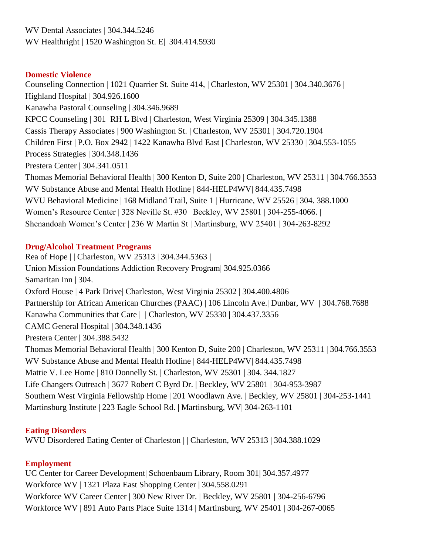WV Dental Associates | 304.344.5246 WV Healthright | 1520 Washington St. E| 304.414.5930

#### **Domestic Violence**

Counseling Connection | 1021 Quarrier St. Suite 414, | Charleston, WV 25301 | 304.340.3676 | Highland Hospital | 304.926.1600 Kanawha Pastoral Counseling | 304.346.9689 KPCC Counseling | 301 RH L Blvd | Charleston, West Virginia 25309 | 304.345.1388 Cassis Therapy Associates | 900 Washington St. | Charleston, WV 25301 | 304.720.1904 Children First | P.O. Box 2942 | 1422 Kanawha Blvd East | Charleston, WV 25330 | 304.553-1055 Process Strategies | 304.348.1436 Prestera Center | 304.341.0511 Thomas Memorial Behavioral Health | 300 Kenton D, Suite 200 | Charleston, WV 25311 | 304.766.3553 WV Substance Abuse and Mental Health Hotline | 844-HELP4WV| 844.435.7498 WVU Behavioral Medicine | 168 Midland Trail, Suite 1 | Hurricane, WV 25526 | 304. 388.1000 Women's Resource Center | 328 Neville St. #30 | Beckley, WV 25801 | 304-255-4066. | Shenandoah Women's Center | 236 W Martin St | Martinsburg, WV 25401 | 304-263-8292

#### **Drug/Alcohol Treatment Programs**

Rea of Hope | | Charleston, WV 25313 | 304.344.5363 | Union Mission Foundations Addiction Recovery Program| 304.925.0366 Samaritan Inn | 304. Oxford House | 4 Park Drive| Charleston, West Virginia 25302 | 304.400.4806 Partnership for African American Churches (PAAC) | 106 Lincoln Ave.| Dunbar, WV | 304.768.7688 Kanawha Communities that Care | | Charleston, WV 25330 | 304.437.3356 CAMC General Hospital | 304.348.1436 Prestera Center | 304.388.5432 Thomas Memorial Behavioral Health | 300 Kenton D, Suite 200 | Charleston, WV 25311 | 304.766.3553 WV Substance Abuse and Mental Health Hotline | 844-HELP4WV| 844.435.7498 Mattie V. Lee Home | 810 Donnelly St. | Charleston, WV 25301 | 304. 344.1827 Life Changers Outreach | 3677 Robert C Byrd Dr. | Beckley, WV 25801 | 304-953-3987 Southern West Virginia Fellowship Home | 201 Woodlawn Ave. | Beckley, WV 25801 | 304-253-1441 Martinsburg Institute | 223 Eagle School Rd. | Martinsburg, WV| 304-263-1101

#### **Eating Disorders**

WVU Disordered Eating Center of Charleston | | Charleston, WV 25313 | 304.388.1029

# **Employment**

UC Center for Career Development| Schoenbaum Library, Room 301| 304.357.4977 Workforce WV | 1321 Plaza East Shopping Center | 304.558.0291 Workforce WV Career Center | 300 New River Dr. | Beckley, WV 25801 | 304-256-6796 Workforce WV | 891 Auto Parts Place Suite 1314 | Martinsburg, WV 25401 | 304-267-0065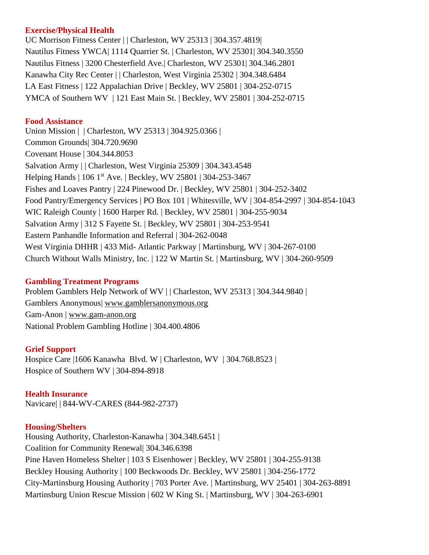#### **Exercise/Physical Health**

UC Morrison Fitness Center | | Charleston, WV 25313 | 304.357.4819| Nautilus Fitness YWCA| 1114 Quarrier St. | Charleston, WV 25301| 304.340.3550 Nautilus Fitness | 3200 Chesterfield Ave.| Charleston, WV 25301| 304.346.2801 Kanawha City Rec Center | | Charleston, West Virginia 25302 | 304.348.6484 LA East Fitness | 122 Appalachian Drive | Beckley, WV 25801 | 304-252-0715 YMCA of Southern WV | 121 East Main St. | Beckley, WV 25801 | 304-252-0715

#### **Food Assistance**

Union Mission | | Charleston, WV 25313 | 304.925.0366 | Common Grounds| 304.720.9690 Covenant House | 304.344.8053 Salvation Army | | Charleston, West Virginia 25309 | 304.343.4548 Helping Hands | 106 1st Ave. | Beckley, WV 25801 | 304-253-3467 Fishes and Loaves Pantry | 224 Pinewood Dr. | Beckley, WV 25801 | 304-252-3402 Food Pantry/Emergency Services | PO Box 101 | Whitesville, WV | 304-854-2997 | 304-854-1043 WIC Raleigh County | 1600 Harper Rd. | Beckley, WV 25801 | 304-255-9034 Salvation Army | 312 S Fayette St. | Beckley, WV 25801 | 304-253-9541 Eastern Panhandle Information and Referral | 304-262-0048 West Virginia DHHR | 433 Mid- Atlantic Parkway | Martinsburg, WV | 304-267-0100 Church Without Walls Ministry, Inc. | 122 W Martin St. | Martinsburg, WV | 304-260-9509

#### **Gambling Treatment Programs**

Problem Gamblers Help Network of WV | | Charleston, WV 25313 | 304.344.9840 | Gamblers Anonymous| [www.gamblersanonymous.org](http://www.gamblersanonymous.org/) Gam-Anon | [www.gam-anon.org](http://www.gam-anon.org/) National Problem Gambling Hotline | 304.400.4806

#### **Grief Support**

Hospice Care |1606 Kanawha Blvd. W | Charleston, WV | 304.768.8523 | Hospice of Southern WV | 304-894-8918

**Health Insurance**  Navicare| | 844-WV-CARES (844-982-2737)

# **Housing/Shelters**

Housing Authority, Charleston-Kanawha | 304.348.6451 | Coalition for Community Renewal| 304.346.6398 Pine Haven Homeless Shelter | 103 S Eisenhower | Beckley, WV 25801 | 304-255-9138 Beckley Housing Authority | 100 Beckwoods Dr. Beckley, WV 25801 | 304-256-1772 City-Martinsburg Housing Authority | 703 Porter Ave. | Martinsburg, WV 25401 | 304-263-8891 Martinsburg Union Rescue Mission | 602 W King St. | Martinsburg, WV | 304-263-6901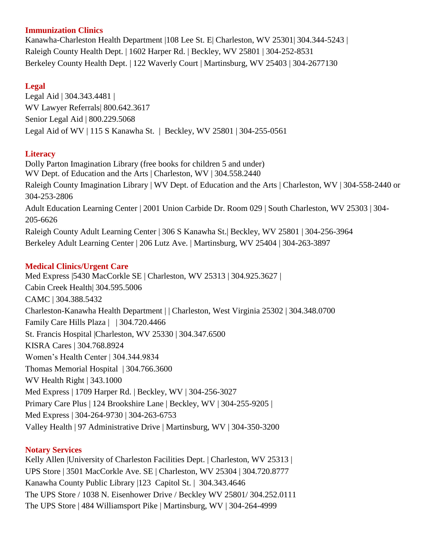#### **Immunization Clinics**

Kanawha-Charleston Health Department |108 Lee St. E| Charleston, WV 25301| 304.344-5243 | Raleigh County Health Dept. | 1602 Harper Rd. | Beckley, WV 25801 | 304-252-8531 Berkeley County Health Dept. | 122 Waverly Court | Martinsburg, WV 25403 | 304-2677130

# **Legal**

Legal Aid | 304.343.4481 | WV Lawyer Referrals| 800.642.3617 Senior Legal Aid | 800.229.5068 Legal Aid of WV | 115 S Kanawha St. | Beckley, WV 25801 | 304-255-0561

# **Literacy**

Dolly Parton Imagination Library (free books for children 5 and under) WV Dept. of Education and the Arts | Charleston, WV | 304.558.2440 Raleigh County Imagination Library | WV Dept. of Education and the Arts | Charleston, WV | 304-558-2440 or 304-253-2806 Adult Education Learning Center | 2001 Union Carbide Dr. Room 029 | South Charleston, WV 25303 | 304- 205-6626 Raleigh County Adult Learning Center | 306 S Kanawha St.| Beckley, WV 25801 | 304-256-3964 Berkeley Adult Learning Center | 206 Lutz Ave. | Martinsburg, WV 25404 | 304-263-3897

# **Medical Clinics/Urgent Care**

Med Express |5430 MacCorkle SE | Charleston, WV 25313 | 304.925.3627 | Cabin Creek Health| 304.595.5006 CAMC | 304.388.5432 Charleston-Kanawha Health Department | | Charleston, West Virginia 25302 | 304.348.0700 Family Care Hills Plaza | | 304.720.4466 St. Francis Hospital |Charleston, WV 25330 | 304.347.6500 KISRA Cares | 304.768.8924 Women's Health Center | 304.344.9834 Thomas Memorial Hospital | 304.766.3600 WV Health Right | 343.1000 Med Express | 1709 Harper Rd. | Beckley, WV | 304-256-3027 Primary Care Plus | 124 Brookshire Lane | Beckley, WV | 304-255-9205 | Med Express | 304-264-9730 | 304-263-6753 Valley Health | 97 Administrative Drive | Martinsburg, WV | 304-350-3200

# **Notary Services**

Kelly Allen |University of Charleston Facilities Dept. | Charleston, WV 25313 | UPS Store | 3501 MacCorkle Ave. SE | Charleston, WV 25304 | 304.720.8777 Kanawha County Public Library |123 Capitol St. | 304.343.4646 The UPS Store / 1038 N. Eisenhower Drive / Beckley WV 25801/ 304.252.0111 The UPS Store | 484 Williamsport Pike | Martinsburg, WV | 304-264-4999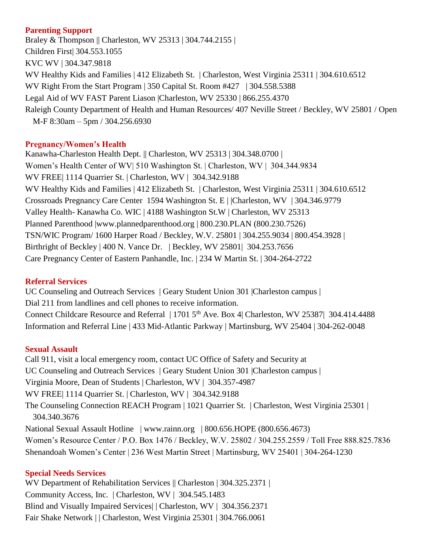#### **Parenting Support**

Braley & Thompson || Charleston, WV 25313 | 304.744.2155 | Children First| 304.553.1055 KVC WV | 304.347.9818 WV Healthy Kids and Families | 412 Elizabeth St. | Charleston, West Virginia 25311 | 304.610.6512 WV Right From the Start Program | 350 Capital St. Room #427 | 304.558.5388 Legal Aid of WV FAST Parent Liason |Charleston, WV 25330 | 866.255.4370 Raleigh County Department of Health and Human Resources/ 407 Neville Street / Beckley, WV 25801 / Open M-F 8:30am – 5pm / 304.256.6930

#### **Pregnancy/Women's Health**

Kanawha-Charleston Health Dept. || Charleston, WV 25313 | 304.348.0700 | Women's Health Center of WV| 510 Washington St. | Charleston, WV | 304.344.9834 WV FREE| 1114 Quarrier St. | Charleston, WV | 304.342.9188 WV Healthy Kids and Families | 412 Elizabeth St. | Charleston, West Virginia 25311 | 304.610.6512 Crossroads Pregnancy Care Center 1594 Washington St. E | |Charleston, WV | 304.346.9779 Valley Health- Kanawha Co. WIC | 4188 Washington St.W | Charleston, WV 25313 Planned Parenthood |www.plannedparenthood.org | 800.230.PLAN (800.230.7526) TSN/WIC Program/ 1600 Harper Road / Beckley, W.V. 25801 | 304.255.9034 | 800.454.3928 | Birthright of Beckley | 400 N. Vance Dr. | Beckley, WV 25801| 304.253.7656 Care Pregnancy Center of Eastern Panhandle, Inc. | 234 W Martin St. | 304-264-2722

#### **Referral Services**

UC Counseling and Outreach Services | Geary Student Union 301 |Charleston campus | Dial 211 from landlines and cell phones to receive information. Connect Childcare Resource and Referral | 1701 5<sup>th</sup> Ave. Box 4| Charleston, WV 25387| 304.414.4488 Information and Referral Line | 433 Mid-Atlantic Parkway | Martinsburg, WV 25404 | 304-262-0048

#### **Sexual Assault**

Call 911, visit a local emergency room, contact UC Office of Safety and Security at UC Counseling and Outreach Services | Geary Student Union 301 |Charleston campus | Virginia Moore, Dean of Students | Charleston, WV | 304.357-4987 WV FREE| 1114 Quarrier St. | Charleston, WV | 304.342.9188 The Counseling Connection REACH Program | 1021 Quarrier St. | Charleston, West Virginia 25301 | 304.340.3676 National Sexual Assault Hotline | www.rainn.org | 800.656.HOPE (800.656.4673) Women's Resource Center / P.O. Box 1476 / Beckley, W.V. 25802 / 304.255.2559 / Toll Free 888.825.7836 Shenandoah Women's Center | 236 West Martin Street | Martinsburg, WV 25401 | 304-264-1230

#### **Special Needs Services**

WV Department of Rehabilitation Services || Charleston | 304.325.2371 | Community Access, Inc. | Charleston, WV | 304.545.1483 Blind and Visually Impaired Services| | Charleston, WV | 304.356.2371 Fair Shake Network | | Charleston, West Virginia 25301 | 304.766.0061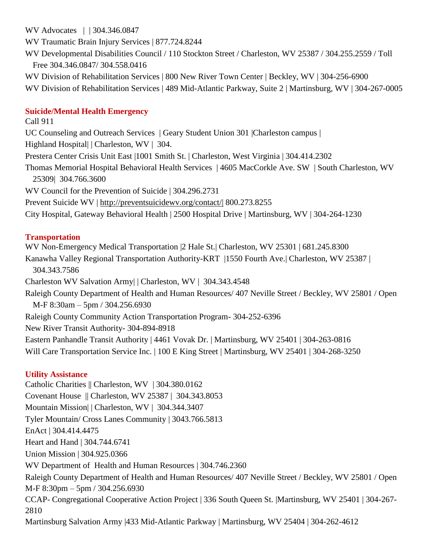WV Advocates | | 304.346.0847

WV Traumatic Brain Injury Services | 877.724.8244

WV Developmental Disabilities Council / 110 Stockton Street / Charleston, WV 25387 / 304.255.2559 / Toll Free 304.346.0847/ 304.558.0416

WV Division of Rehabilitation Services | 800 New River Town Center | Beckley, WV | 304-256-6900

WV Division of Rehabilitation Services | 489 Mid-Atlantic Parkway, Suite 2 | Martinsburg, WV | 304-267-0005

# **Suicide/Mental Health Emergency**

Call 911 UC Counseling and Outreach Services | Geary Student Union 301 |Charleston campus | Highland Hospital| | Charleston, WV | 304. Prestera Center Crisis Unit East |1001 Smith St. | Charleston, West Virginia | 304.414.2302 Thomas Memorial Hospital Behavioral Health Services | 4605 MacCorkle Ave. SW | South Charleston, WV 25309| 304.766.3600 WV Council for the Prevention of Suicide | 304.296.2731 Prevent Suicide WV |<http://preventsuicidewv.org/contact/|> 800.273.8255 City Hospital, Gateway Behavioral Health | 2500 Hospital Drive | Martinsburg, WV | 304-264-1230

# **Transportation**

WV Non-Emergency Medical Transportation |2 Hale St.| Charleston, WV 25301 | 681.245.8300 Kanawha Valley Regional Transportation Authority-KRT |1550 Fourth Ave.| Charleston, WV 25387 | 304.343.7586 Charleston WV Salvation Army| | Charleston, WV | 304.343.4548 Raleigh County Department of Health and Human Resources/ 407 Neville Street / Beckley, WV 25801 / Open M-F 8:30am – 5pm / 304.256.6930 Raleigh County Community Action Transportation Program- 304-252-6396 New River Transit Authority- 304-894-8918 Eastern Panhandle Transit Authority | 4461 Vovak Dr. | Martinsburg, WV 25401 | 304-263-0816 Will Care Transportation Service Inc. | 100 E King Street | Martinsburg, WV 25401 | 304-268-3250

# **Utility Assistance**

Catholic Charities || Charleston, WV | 304.380.0162 Covenant House || Charleston, WV 25387 | 304.343.8053 Mountain Mission| | Charleston, WV | 304.344.3407 Tyler Mountain/ Cross Lanes Community | 3043.766.5813 EnAct | 304.414.4475 Heart and Hand | 304.744.6741 Union Mission | 304.925.0366 WV Department of Health and Human Resources | 304.746.2360 Raleigh County Department of Health and Human Resources/ 407 Neville Street / Beckley, WV 25801 / Open M-F 8:30pm – 5pm / 304.256.6930 CCAP- Congregational Cooperative Action Project | 336 South Queen St. |Martinsburg, WV 25401 | 304-267- 2810 Martinsburg Salvation Army |433 Mid-Atlantic Parkway | Martinsburg, WV 25404 | 304-262-4612